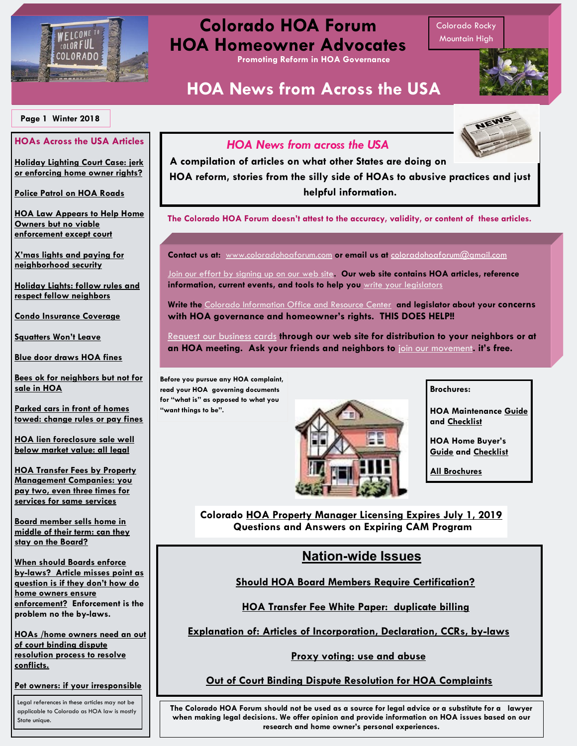

## **Colorado HOA Forum HOA Homeowner Advocates**

**Promoting Reform in HOA Governance**

# **HOA News from Across the USA**

[Colorado Rocky](file:///C:/Stan Files/mountain goats.MP4)  [Mountain High](file:///C:/Stan Files/mountain goats.MP4)

NEWS

#### **Page 1 Winter 2018**

#### **HOAs Across the USA Articles**

**[Holiday Lighting Court Case: jerk](https://www.inlander.com/spokane/how-one-mans-quest-to-spread-christmas-cheer-led-to-a-miserable-four-year-war-with-his-neighborhood/Content?oid=15109011)  [or enforcing home owner rights?](https://www.inlander.com/spokane/how-one-mans-quest-to-spread-christmas-cheer-led-to-a-miserable-four-year-war-with-his-neighborhood/Content?oid=15109011)**

**[Police Patrol on HOA Roads](https://www.wbtw.com/news/grand-strand/horry-county-police-restricted-when-patrolling-neighborhoods-with-private-roads/1637044958)**

**[HOA Law Appears to Help Home](https://www.sbsun.com/2018/11/30/hoa-homefront-tighter-protection-of-hoa-funds-in-2019/)  [Owners but no viable](https://www.sbsun.com/2018/11/30/hoa-homefront-tighter-protection-of-hoa-funds-in-2019/)  [enforcement except court](https://www.sbsun.com/2018/11/30/hoa-homefront-tighter-protection-of-hoa-funds-in-2019/)**

**[X'mas lights and paying for](http://sandhillsexpress.com/abc_national/town-asks-homeowner-to-pay-2000-a-night-in-christmas-light-display-showdown-abcid36133984/)  [neighborhood security](http://sandhillsexpress.com/abc_national/town-asks-homeowner-to-pay-2000-a-night-in-christmas-light-display-showdown-abcid36133984/)**

**[Holiday Lights: follow rules and](https://www.azcentral.com/story/money/real-estate/catherine-reagor/2018/11/23/watch-out-hoa-rules-holiday-lights-and-decorations/2069213002/)  [respect fellow neighbors](https://www.azcentral.com/story/money/real-estate/catherine-reagor/2018/11/23/watch-out-hoa-rules-holiday-lights-and-decorations/2069213002/)**

**[Condo Insurance Coverage](https://www.nuwireinvestor.com/property-insurance-basics-coverage-can-expect-decide-get-condo-insured/)**

**[Squatters Won't Leave](https://www.krqe.com/news/new-mexico/squatters-refuse-to-leave-new-mexico-homeowner-s-house/1592276651)**

**[Blue door draws HOA fines](https://abc13.com/home/blue-door-battle-widow-at-odds-with-katy-hoa/4676717/)**

**[Bees ok for neighbors but not for](https://www.thedenverchannel.com/news/contact7/arvada-hoa-approves-backyard-bees-then-backs-off-its-decision)  [sale in HOA](https://www.thedenverchannel.com/news/contact7/arvada-hoa-approves-backyard-bees-then-backs-off-its-decision)**

**[Parked cars in front of homes](https://www.ktnv.com/news/contact-13/hoa-hall-of-shame-neighbors-upset-that-their-cars-are-being-towed-from-in-front-of-their-homes)  [towed: change rules or pay fines](https://www.ktnv.com/news/contact-13/hoa-hall-of-shame-neighbors-upset-that-their-cars-are-being-towed-from-in-front-of-their-homes)**

**[HOA lien foreclosure sale well](https://www.jdsupra.com/legalnews/can-a-court-set-aside-a-hoa-lien-42417/)  [below market value: all legal](https://www.jdsupra.com/legalnews/can-a-court-set-aside-a-hoa-lien-42417/)**

**[HOA Transfer Fees by Property](http://www.coloradohoaforum.com/files/transfer_fees_triplicate.pdf)  [Management Companies: you](http://www.coloradohoaforum.com/files/transfer_fees_triplicate.pdf)  [pay two, even three times for](http://www.coloradohoaforum.com/files/transfer_fees_triplicate.pdf)  [services for same services](http://www.coloradohoaforum.com/files/transfer_fees_triplicate.pdf)**

**[Board member sells home in](https://www.reviewjournal.com/homes/resale-news/hoa-board-member-who-sold-home-should-resign-1517557/)  [middle of their term: can they](https://www.reviewjournal.com/homes/resale-news/hoa-board-member-who-sold-home-should-resign-1517557/)  [stay on the Board?](https://www.reviewjournal.com/homes/resale-news/hoa-board-member-who-sold-home-should-resign-1517557/)**

**[When should Boards enforce](https://www.naplesnews.com/story/money/real-estate/2018/11/03/when-do-community-rules-and-regulations-have-enforced/1761260002/)  [by-laws? Article misses point as](https://www.naplesnews.com/story/money/real-estate/2018/11/03/when-do-community-rules-and-regulations-have-enforced/1761260002/)  [question is if they don't how do](https://www.naplesnews.com/story/money/real-estate/2018/11/03/when-do-community-rules-and-regulations-have-enforced/1761260002/)  [home owners ensure](https://www.naplesnews.com/story/money/real-estate/2018/11/03/when-do-community-rules-and-regulations-have-enforced/1761260002/)  [enforcement?](https://www.naplesnews.com/story/money/real-estate/2018/11/03/when-do-community-rules-and-regulations-have-enforced/1761260002/) Enforcement is the problem no the by-laws.**

**[HOAs /home owners need an out](http://www.coloradohoaforum.com/outofcourtbinding.html)  [of court binding dispute](http://www.coloradohoaforum.com/outofcourtbinding.html)  [resolution process to resolve](http://www.coloradohoaforum.com/outofcourtbinding.html)  [conflicts.](http://www.coloradohoaforum.com/outofcourtbinding.html)**

**[Pet owners: if your irresponsible](https://www.nolo.com/legal-encyclopedia/check-hoa-rules-when-looking-to-buy-a-pet-friendly-condo.html)** 

Legal references in these articles may not be applicable to Colorado as HOA law is mostly State unique.

### *HOA News from across the USA*

**A compilation of articles on what other States are doing on HOA reform, stories from the silly side of HOAs to abusive practices and just helpful information.** 

**The Colorado HOA Forum doesn't attest to the accuracy, validity, or content of these articles.** 

**Contact us at:** [www.coloradohoaforum.com](http://www.coloradohoaforum.com/contact_us.html) **or email us at** [coloradohoaforum@gmail.com](mailto:coloradohoaforum@hotmail.com)

[Join our effort by signing up on our web site](http://www.coloradohoaforum.com/contact_us.html)**. Our web site contains HOA articles, reference information, current events, and tools to help you** [write your legislators](http://www.coloradohoaforum.com/StateRep.html) 

**Write the** [Colorado Information Office and Resource Center](http://www.coloradohoaforum.com/hoainforoffetc.html) **and legislator about your concerns with HOA governance and homeowner's rights. THIS DOES HELP!!**

[Request our business cards](http://www.coloradohoaforum.com/businesscardbroch.html) **through our web site for distribution to your neighbors or at an HOA meeting. Ask your friends and neighbors to** [join our movement](http://www.coloradohoaforum.com/contact_us.html)**. it's free.**

**Before you pursue any HOA complaint, read your HOA governing documents for "what is" as opposed to what you "want things to be".** 



**Brochures:**

**HOA Maintenance [Guide](http://www.coloradohoaforum.com/files/hoa_maintenance_guide4.pdf) and [Checklist](http://www.coloradohoaforum.com/files/HOA_Home_Buyer_s_Checklist_2015.pdf)**

**HOA Home Buyer's [Guide](http://www.coloradohoaforum.com/files/home_buying_brochure_2015.pdf) and [Checklist](http://www.coloradohoaforum.com/files/HOA_Home_Buyer_s_Checklist_2015.pdf)**

**[All Brochures](http://www.coloradohoaforum.com/businesscardbroch.html)**

**Colorado [HOA Property Manager Licensing Expires July 1, 2019](https://www.colorado.gov/pacific/dora/cam-program-update) Questions and Answers on Expiring CAM Program**

## **Nation-wide Issues**

 **[Should HOA Board Members Require Certification?](http://yourhub.denverpost.com/blog/2018/06/should-hoa-board-members-be-licensed/218458/)** 

 **[HOA Transfer Fee White Paper: duplicate billing](http://www.coloradohoaforum.com/files/transfer_fees_triplicate.pdf)**

 **[Explanation of: Articles of Incorporation, Declaration, CCRs, by-laws](http://www.summithoaservices.com/site/faq/)**

 **[Proxy voting: use and abuse](http://www.coloradohoaforum.com/files/Proxy_Voting.pdf)**

**[Out of Court Binding Dispute Resolution for HOA Complaints](http://www.coloradohoaforum.com/files/ADR_for_Home_Owners_cost_study.pdf)**

**The Colorado HOA Forum should not be used as a source for legal advice or a substitute for a lawyer when making legal decisions. We offer opinion and provide information on HOA issues based on our research and home owner's personal experiences.**